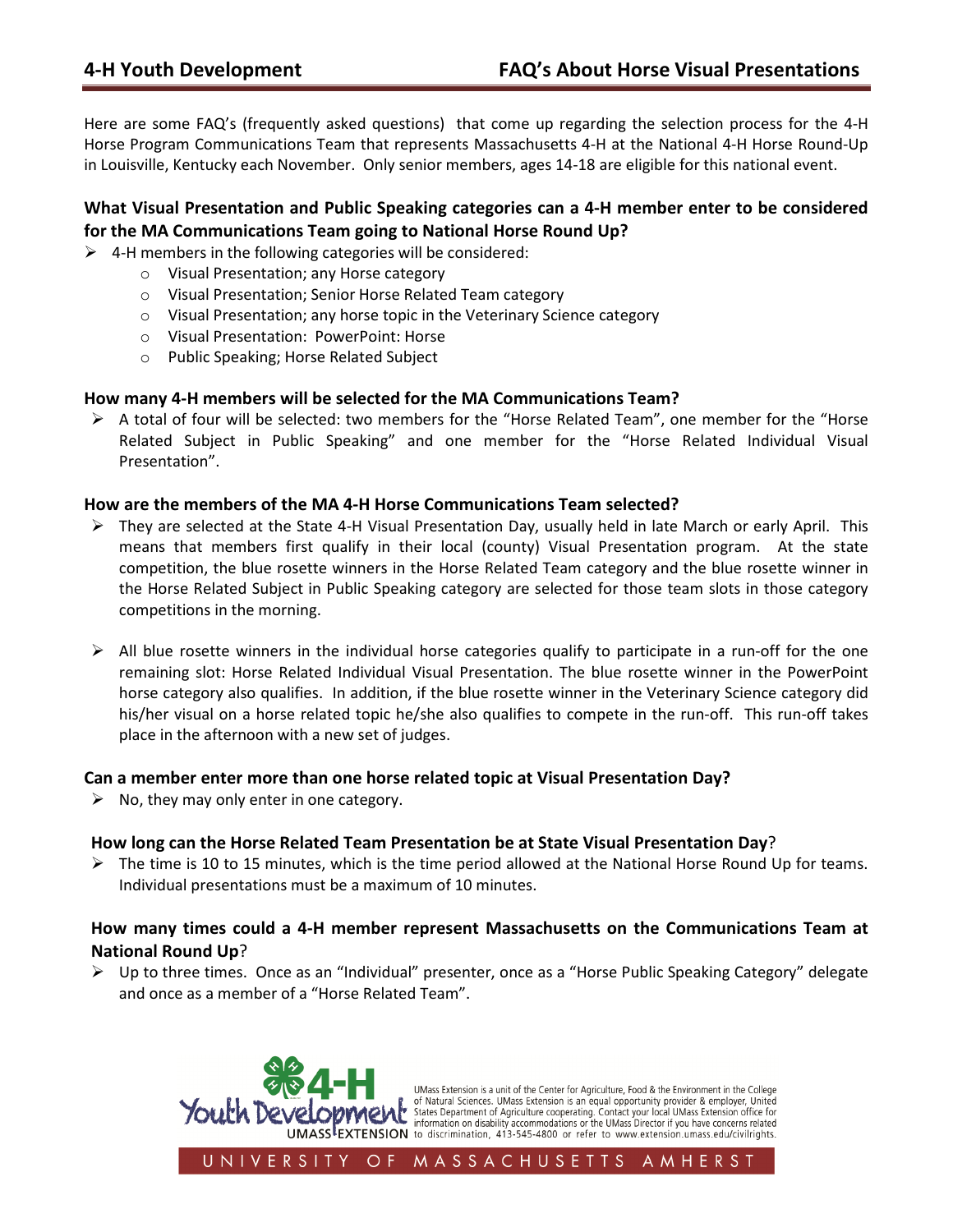Here are some FAQ's (frequently asked questions) that come up regarding the selection process for the 4-H Horse Program Communications Team that represents Massachusetts 4-H at the National 4-H Horse Round-Up in Louisville, Kentucky each November. Only senior members, ages 14-18 are eligible for this national event.

# What Visual Presentation and Public Speaking categories can a 4-H member enter to be considered for the MA Communications Team going to National Horse Round Up?

 $\triangleright$  4-H members in the following categories will be considered:

- o Visual Presentation; any Horse category
- o Visual Presentation; Senior Horse Related Team category
- o Visual Presentation; any horse topic in the Veterinary Science category
- o Visual Presentation: PowerPoint: Horse
- o Public Speaking; Horse Related Subject

#### How many 4-H members will be selected for the MA Communications Team?

 $\triangleright$  A total of four will be selected: two members for the "Horse Related Team", one member for the "Horse Related Subject in Public Speaking" and one member for the "Horse Related Individual Visual Presentation".

#### How are the members of the MA 4-H Horse Communications Team selected?

- $\triangleright$  They are selected at the State 4-H Visual Presentation Day, usually held in late March or early April. This means that members first qualify in their local (county) Visual Presentation program. At the state competition, the blue rosette winners in the Horse Related Team category and the blue rosette winner in the Horse Related Subject in Public Speaking category are selected for those team slots in those category competitions in the morning.
- $\triangleright$  All blue rosette winners in the individual horse categories qualify to participate in a run-off for the one remaining slot: Horse Related Individual Visual Presentation. The blue rosette winner in the PowerPoint horse category also qualifies. In addition, if the blue rosette winner in the Veterinary Science category did his/her visual on a horse related topic he/she also qualifies to compete in the run-off. This run-off takes place in the afternoon with a new set of judges.

#### Can a member enter more than one horse related topic at Visual Presentation Day?

 $\triangleright$  No, they may only enter in one category.

#### How long can the Horse Related Team Presentation be at State Visual Presentation Day?

 $\triangleright$  The time is 10 to 15 minutes, which is the time period allowed at the National Horse Round Up for teams. Individual presentations must be a maximum of 10 minutes.

# How many times could a 4-H member represent Massachusetts on the Communications Team at National Round Up?

 Up to three times. Once as an "Individual" presenter, once as a "Horse Public Speaking Category" delegate and once as a member of a "Horse Related Team".